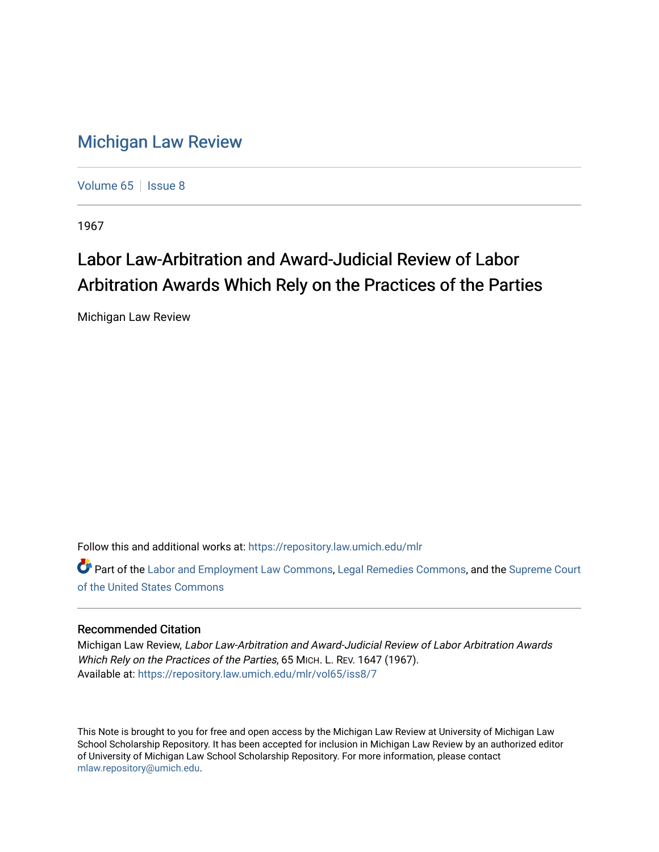## [Michigan Law Review](https://repository.law.umich.edu/mlr)

[Volume 65](https://repository.law.umich.edu/mlr/vol65) | [Issue 8](https://repository.law.umich.edu/mlr/vol65/iss8)

1967

# Labor Law-Arbitration and Award-Judicial Review of Labor Arbitration Awards Which Rely on the Practices of the Parties

Michigan Law Review

Follow this and additional works at: [https://repository.law.umich.edu/mlr](https://repository.law.umich.edu/mlr?utm_source=repository.law.umich.edu%2Fmlr%2Fvol65%2Fiss8%2F7&utm_medium=PDF&utm_campaign=PDFCoverPages) 

Part of the [Labor and Employment Law Commons](http://network.bepress.com/hgg/discipline/909?utm_source=repository.law.umich.edu%2Fmlr%2Fvol65%2Fiss8%2F7&utm_medium=PDF&utm_campaign=PDFCoverPages), [Legal Remedies Commons](http://network.bepress.com/hgg/discipline/618?utm_source=repository.law.umich.edu%2Fmlr%2Fvol65%2Fiss8%2F7&utm_medium=PDF&utm_campaign=PDFCoverPages), and the [Supreme Court](http://network.bepress.com/hgg/discipline/1350?utm_source=repository.law.umich.edu%2Fmlr%2Fvol65%2Fiss8%2F7&utm_medium=PDF&utm_campaign=PDFCoverPages)  [of the United States Commons](http://network.bepress.com/hgg/discipline/1350?utm_source=repository.law.umich.edu%2Fmlr%2Fvol65%2Fiss8%2F7&utm_medium=PDF&utm_campaign=PDFCoverPages)

### Recommended Citation

Michigan Law Review, Labor Law-Arbitration and Award-Judicial Review of Labor Arbitration Awards Which Rely on the Practices of the Parties, 65 MICH. L. REV. 1647 (1967). Available at: [https://repository.law.umich.edu/mlr/vol65/iss8/7](https://repository.law.umich.edu/mlr/vol65/iss8/7?utm_source=repository.law.umich.edu%2Fmlr%2Fvol65%2Fiss8%2F7&utm_medium=PDF&utm_campaign=PDFCoverPages)

This Note is brought to you for free and open access by the Michigan Law Review at University of Michigan Law School Scholarship Repository. It has been accepted for inclusion in Michigan Law Review by an authorized editor of University of Michigan Law School Scholarship Repository. For more information, please contact [mlaw.repository@umich.edu.](mailto:mlaw.repository@umich.edu)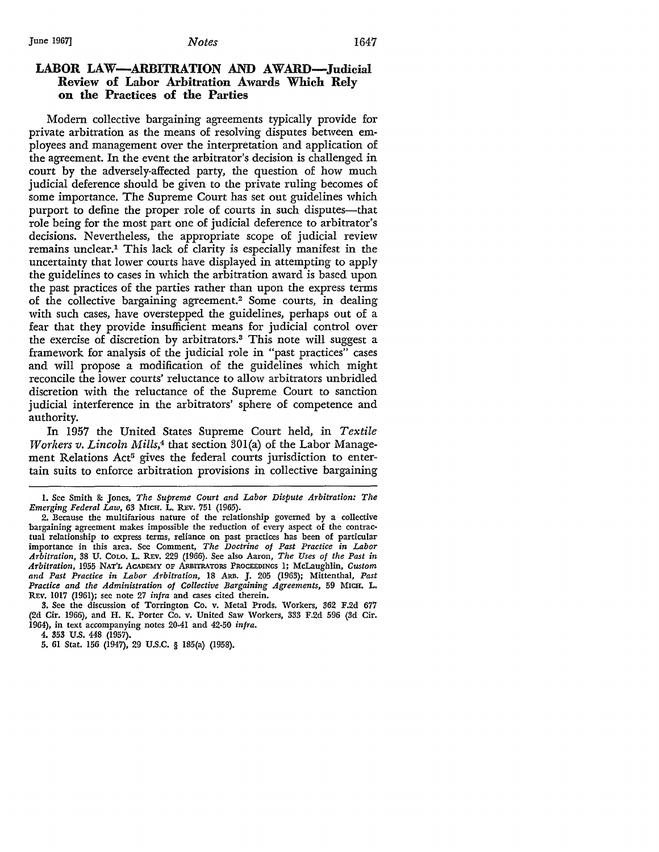#### LABOR LAW—ARBITRATION AND AWARD—Judicial **Review of Labor Arbitration Awards Which Rely on the Practices of the Parties**

Modem collective bargaining agreements typically provide for private arbitration as the means of resolving disputes between employees and management over the interpretation and application of the agreement. In the event the arbitrator's decision is challenged in court by the adversely-affected party, the question of how much judicial deference should be given to the private ruling becomes of some importance. The Supreme Court has set out guidelines which purport to define the proper role of courts in such disputes—that role being for the most part one of judicial deference to arbitrator's decisions. Nevertheless, the appropriate scope of judicial review remains unclear.1 This lack of clarity is especially manifest in the uncertainty that lower courts have displayed in attempting to apply the guidelines to cases in which the arbitration award is based upon the past practices of the parties rather than upon the express terms of the collective bargaining agreement.<sup>2</sup> Some courts, in dealing with such cases, have overstepped the guidelines, perhaps out of a fear that they provide insufficient means for judicial control over the exercise of discretion by arbitrators.3 This note will suggest a framework for analysis of the judicial role in "past practices" cases and will propose a modification of the guidelines which might reconcile the lower courts' reluctance to allow arbitrators unbridled discretion with the reluctance of the Supreme Court to sanction judicial interference in the arbitrators' sphere of competence and authority.

In 1957 the United States Supreme Court held, in *Textile Workers v. Lincoln Mills,*4 that section 30l(a) of the Labor Management Relations Act<sup>5</sup> gives the federal courts jurisdiction to entertain suits to enforce arbitration provisions in collective bargaining

4. 353 U.S. 448 (1957).

I. See Smith & Jones, *The Supreme Court and Labor Dispute Arbitration: The Emerging Federal Law*, 63 MICH. L. REV. 751 (1965).

<sup>2.</sup> Because the multifarious nature of the relationship governed by a collective bargaining agreement makes impossible the reduction of every aspect of the contractual relationship to express terms, reliance on past practices has been of particular importance in this area. See Comment, *The Doctrine of Past Practice in Labor Arbitration,* 38 U. CoLO. L. R.Ev. 229 (1966). See also Aaron, *The Uses of the Past in*  Arbitration, 1955 NAT'L ACADEMY OF ARBITRATORS PROCEEDINGS 1; McLaughlin, *Custom and Past Practice in Labor Arbitration,* 18 ARB. J. 205 (1963); Mittenthal, *Past Practice and the Administration of Collective Bargaining Agreements,* 59 MICH. L. REV. 1017 (1961); see note 27 *infra* and cases cited therein.

**<sup>3.</sup>** See the discussion of Torrington Co. v. Metal Prods. Workers, 362 F.2d 677 (2d Cir. 1966), and H. K. Porter Co. v. United Saw Workers, 333 F.2d 596 (3d Cir. 1964), in text accompanying notes 20-41 and 42·50 *infra.* 

<sup>5. 61</sup> Stat. 156 (1947), 29 U.S.C. § 185(a) (1958).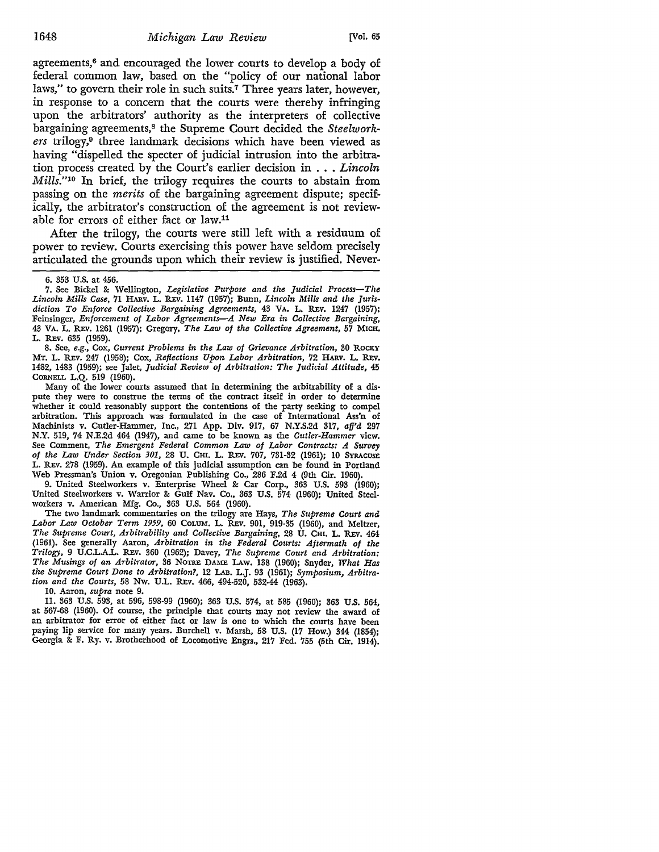agreements,<sup>6</sup> and encouraged the lower courts to develop a body of federal common law, based on the "policy of our national labor laws," to govern their role in such suits.<sup>7</sup> Three years later, however, in response to a concern that the courts were thereby infringing upon the arbitrators' authority as the interpreters of collective bargaining agreements,8 the Supreme Court decided the *Steelwork*ers trilogy,<sup>9</sup> three landmark decisions which have been viewed as having "dispelled the specter of judicial intrusion into the arbitration process created by the Court's earlier decision in ... *Lincoln Mills.*"<sup>10</sup> In brief, the trilogy requires the courts to abstain from passing on the *merits* of the bargaining agreement dispute; specifically, the arbitrator's construction of the agreement is not reviewable for errors of either fact or law.<sup>11</sup>

After the trilogy, the courts were still left with a residuum of power to review. Courts exercising this power have seldom precisely articulated the grounds upon which their review is justified. Never-

7. See Bickel & Wellington, *Legislative Purpose and the Judicial Process-The*  Lincoln Mills Case, 71 HARV. L. REV. 1147 (1957); Bunn, *Lincoln Mills and the Jurisdiction To Enforce Collective Bargaining Agreements,* 43 VA. L. REv. 1247 (1957); Feinsinger, *Enforcement of Labor Agreements-A New Era in Collective Bargaining,*  43 VA. L. REV. 1261 (1957); Gregory, *The Law of the Collective Agreement,* 57 MICH. L. REV. 635 (1959).

8. See, *e.g.,* Cox, *Current Problems in the Law of Grievance Arbitration,* 30 ROCKY MT. L. REv. 247 (1958); Cox, *Reflections Upon Labor Arbitration,* 72 HARv. L. R:Ev. 1482, 1483 (1959); see Jalet, *Judicial Review of Arbitration: The Judicial Attitude,* 45 CORNELL L.Q. 519 (1960).

Many of the lower courts assumed that in determining the arbitrability of a dis· pute they were to construe the terms of the contract itself in order to determine whether it could reasonably support the contentions of the party seeking to compel arbitration. This approach was formulated in the case of International Ass'n of Machinists v. Cutler-Hammer, Inc., 271 App. Div. 917, 67 N.Y.S.2d 317, *affd* 297 N.Y. 519, 74 N.E.2d 464 (1947), and came to be known as the *Cutler-Hammer* view. See Comment, *The Emergent Federal Common Law of Labor Contracts: A Survey of the Law Under Section 301,* 28 U. CHI. L. R:Ev. 707, 731-32 (1961); 10 SYRACUSE L. REv. 278 (1959). An example of this judicial assumption can be found in Portland Web Pressman's Union v. Oregonian Publishing Co., 286 F.2d 4 (9th Cir. 1960).

9. United Steelworkers v. Enterprise Wheel & Car Corp., 363 U.S. 593 (1960); United Steelworkers v. Warrior & Gulf Nav. Co., 363 U.S. 574 (1960); United Steelworkers v. American Mfg. Co., 363 U.S. 564 (1960).

The two landmark commentaries on the trilogy are Hays, *The Supreme Court and*  Labor Law October Term 1959, 60 Colum. L. REV. 901, 919-35 (1960), and Meltzer, The Supreme Court, Arbitrability and Collective Bargaining, 28 U. CHI. L. REV. 464 (1961). See generally Aaron, *Arbitration in the Federal Courts: Aftermath of the Trilogy,* 9 U.C.L.AL. REv. 360 (1962); Davey, *The Supreme Court and Arbitration: The Musings of an Arbitrator,* 36 NOTRE DAME LAw. 138 (1960); Snyder, *What Has the Supreme Court Done to Arbitration?,* 12 LAB. L.J. 93 (1961); *Symposium, Arbitration and the Courts,* 58 Nw. U.L. REv. 466, 494-520, 532-44 (1963).

10. Aaron, *supra* note 9.

11. 363 U.S. 593, at 596, 598-99 (1960); 363 U.S. 574, at 585 (1960); 363 U.S. 564, at 567-68 (1960). Of course, the principle that courts may not review the award of an arbitrator for error of either fact or law is one to which the courts have been paying lip service for many years. Burchell v. Marsh, 58 U.S. (17 How.) 344 (1854); Georgia & F. Ry. v. Brotherhood of Locomotive Engrs., 217 Fed. 755 (5th Cir. 1914).

<sup>6. 353</sup> U.S. at 456.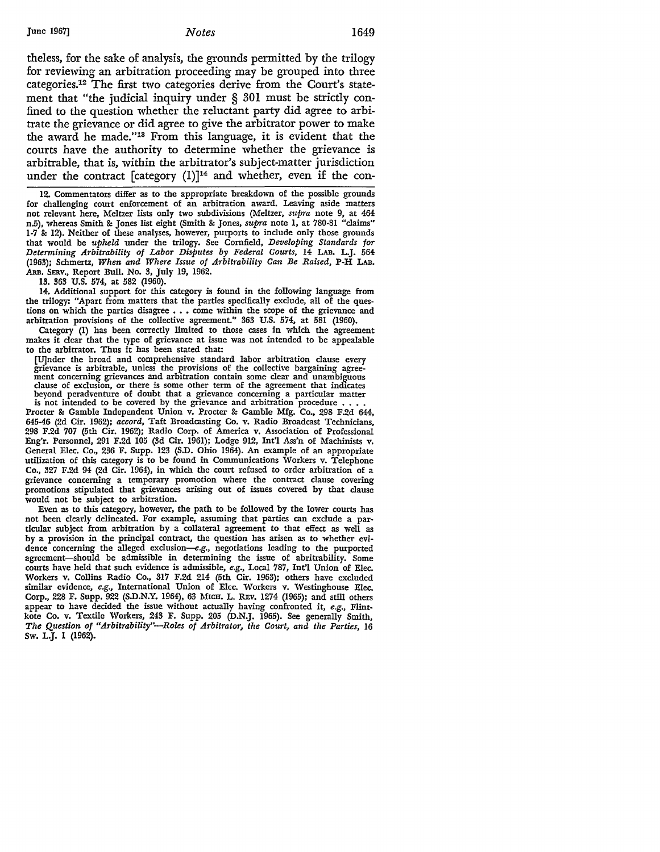theless, for the sake of analysis, the grounds permitted by the trilogy for reviewing an arbitration proceeding may be grouped into three categories.12 The first two categories derive from the Court's statement that "the judicial inquiry under § 301 must be strictly confined to the question whether the reluctant party did agree to arbitrate the grievance or did agree to give the arbitrator power to make the award he made."13 From this language, it is evident that the courts have the authority to determine whether the grievance is arbitrable, that is, within the arbitrator's subject-matter jurisdiction under the contract [category  $(1)$ ]<sup>14</sup> and whether, even if the con-

12. Commentators differ as to the appropriate breakdown of the possible grounds for challenging court enforcement of an arbitration award. Leaving aside matters not relevant here, Meltzer lists only two subdivisions (Meltzer, *supra* note 9, at 464 n.5), whereas Smith & Jones list eight (Smith & Jones, *supra* note 1, at 780-81 "claims" 1-7 & 12). Neither of these analyses, however, purports to include only those grounds that would be *upheld* under the trilogy. See Cornfield, *Developing Standards for Determining Arbitrability of Labor Disputes by Federal Courts,* 14 LAB. L.J. 564 (1963); Schmertz, *When and Where Issue of Arbitrability Can Be Raised,* P-H LAB • .ARB. SERv., Report Bull. No. 3, July 19, 1962.

13. 363 U.S. 574, at 582 (1960).

14. Additional support for this category is found in the following language from the trilogy: "Apart from matters that the parties specifically exclude, all of the questions on which the parties disagree . . . come within the scope of the grievance and arbitration provisions of the collective agreement." 363 U.S. 574, at 581 (1960).

Category (1) has been correctly limited to those cases in which the agreement makes it clear that the type of grievance at issue was not intended to be appealable to the arbitrator. Thus it has been stated that:

[U]nder the broad and comprehensive standard labor arbitration clause every grievance is arbitrable, unless the provisions of the collective bargaining agreement concerning grievances and arbitration contain some clear and unambiguous clause of exclusion, or there is some other term of the agreement that indicates beyond peradventure of doubt that a grievance concerning a particular matter is not intended to be covered by the grievance and arbitration procedure..

Procter & Gamble Independent Union v. Procter & Gamble Mfg. Co., 298 F.2d 644, 645-46 (2d Cir. 1962); *accord,* Taft Broadcasting Co. v. Radio Broadcast Technicians, 298 F.2d 707 (5th Cir. 1962); Radio Corp. of America v. Association of Professional Eng'r. Personnel, 291 F.2d 105 (3d Cir. 1961); Lodge 912, Int'l Ass'n of Machinists v. General Elec. Co., 236 F. Supp. 123 (S.D. Ohio 1964). An example of an appropriate utilization of this category is to be found in Communications Workers v. Telephone Co., 327 F.2d 94 (2d Cir. 1964), in which the court refused to order arbitration of a grievance concerning a temporary promotion where the contract clause covering promotions stipulated that grievances arising out of issues covered by that clause would not be subject to arbitration.

Even as to this category, however, the path to be followed by the lower courts has not been clearly delineated. For example, assuming that parties can exclude a particular subject from arbitration by a collateral agreement to that effect as well as by a provision in the principal contract, the question has arisen as to whether evidence concerning the alleged exclusion-e.g., negotiations leading to the purported agreement-should be admissible in determining the issue of abritrability. Some courts have held that such evidence is admissible, *e.g.,* Local 787, Int'! Union of Elec. Workers v. Collins Radio Co., 317 F.2d 214 (5th Cir. 1963); others have excluded similar evidence, e.g., International Union of Elec. Workers v. Westinghouse Elec. Corp., 228 F. Supp. 922 (S.D.N.Y. 1964), 63 MICH. L. R.Ev. 1274 (1965); and still others appear to have decided the issue without actually having confronted it, *e.g.,* Flintkote Co, v. Textile Workers, 243 F. Supp. 205 (D.N.J. 1965). See generally Smith, *The Question of "Arbitrability"-Roles of Arbitrator, the Court, and the Parties,* 16 Sw. L.J. I (1962),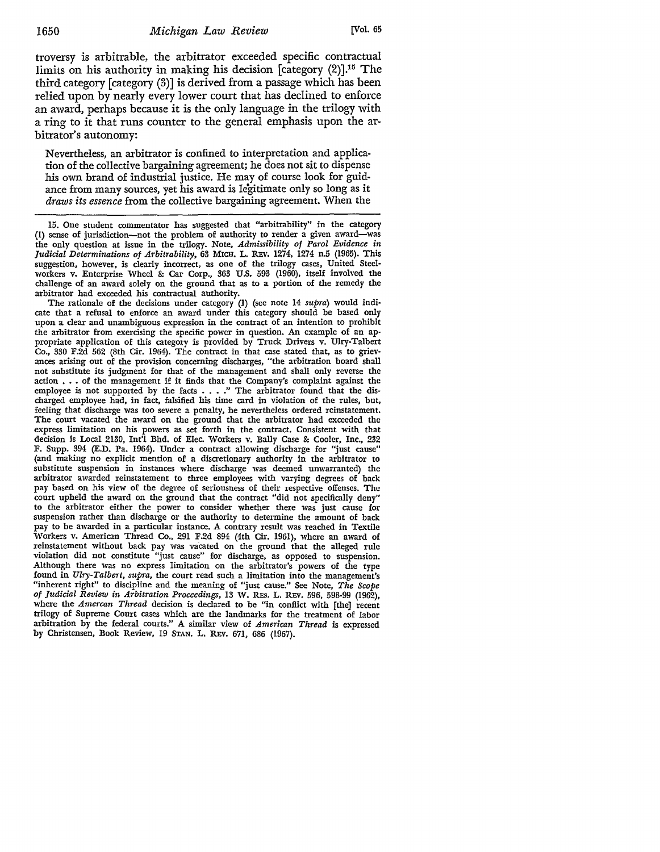troversy is arbitrable, the arbitrator exceeded specific contractual limits on his authority in making his decision [category  $(2)$ ].<sup>15</sup> The third category [category (3)] is derived from a passage which has been relied upon by nearly every lower court that has declined to enforce an award, perhaps because it is the only language in the trilogy with a ring to it that runs counter to the general emphasis upon the arbitrator's autonomy:

Nevertheless, an arbitrator is confined to interpretation and application of the collective bargaining agreement; he does not sit to dispense his own brand of industrial justice. He may of course look for guidance from many sources, yet his award is legitimate only so long as it *draws its essence* from the collective bargaining agreement. When the

15. One student commentator has suggested that "arbitrability" in the category (I) sense of jurisdiction-not the problem of authority to render a given award-was the only question at issue in the trilogy. Note, *Admissibility of Parol Evidence in Judidal Determinations of Arbitrability,* 63 MICH. L. REv. 1274, 1274 n.5 (1965). This suggestion, however, is clearly incorrect, as one of the trilogy cases, United Steelworkers v. Enterprise Wheel &: Car Corp., 363 U.S. 593 (1960), itself involved the challenge of an award solely on the ground that as to a portion of the remedy the arbitrator had exceeded his contractual authority.

The rationale of the decisions under category (I) (see note 14 *supra)* would indicate that a refusal to enforce an award under this category should be based only upon a clear and unambiguous expression in the contract of an intention to prohibit the arbitrator from exercising the specific power in question. An example of an appropriate application of this category is provided by Truck Drivers v. Ulry-Talbert Co., 330 F.2d 562 (8th Cir. 1964). The contract in that case stated that, as to grievances arising out of the provision concerning discharges, "the arbitration board shall not substitute its judgment for that of the management and shall only reverse the action  $\ldots$  of the management if it finds that the Company's complaint against the employee is not supported by the facts • . . ." The arbitrator found that the discharged employee had, in fact, falsified his time card in violation of the rules, but, feeling that discharge was too severe a penalty, he nevertheless ordered reinstatement. The court vacated the award on the ground that the arbitrator had exceeded the express limitation on his powers as set forth in the contract. Consistent with that decision is Local 2130, Int'l Bhd. of Elec. Workers v. Bally Case & Cooler, Inc., 232 F. Supp. 394 (E.D. Pa. 1964). Under a contract allowing discharge for "just cause" (and making no explicit mention of a discretionary authority in the arbitrator to substitute suspension in instances where discharge was deemed unwarranted) the arbitrator awarded reinstatement to three employees with varying degrees of back pay based on his view of the degree of seriousness of their respective offenses. The court upheld the award on the ground that the contract "did not specifically deny" to the arbitrator either the power to consider whether there was just cause for suspension rather than discharge or the authority to determine the amount of back pay to be awarded in a particular instance. A contrary result was reached in Textile Workers v. American Thread Co., 291 F.2d 894 (4th Cir. 1961), where an award of reinstatement without back pay was vacated on the ground that the alleged rule violation did not constitute "just cause" for discharge, as opposed to suspension. Although there was no express limitation on the arbitrator's powers of the type found in *Ulry-Talbert, supra,* the court read such a limitation into the management's "inherent right" to discipline and the meaning of "just cause." See Note, *The Scope of Judidal Review in Arbitration Proceedings,* 13 W. R.Es. L. REv. 596, 598-99 (1962), where the *Amercan Thread* decision is declared to be "in conflict with fthe) recent trilogy of Supreme Court cases which are the landmarks for the treatment of labor arbitration by the federal courts." A similar view of *American Thread* is expressed by Christensen, Book Review, 19 STAN. L. REv. 671, 686 (1967).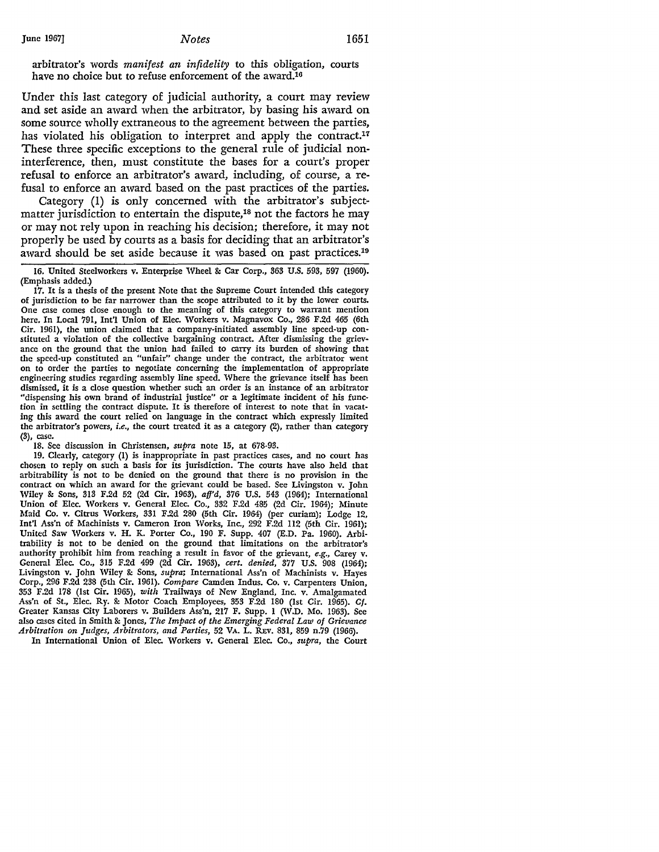arbitrator's words *manifest an infidelity* to this obligation, courts have no choice but to refuse enforcement of the award.16

Under this last category of judicial authority, a court may review and set aside an award when the arbitrator, by basing his award on some source wholly extraneous to the agreement between the parties, has violated his obligation to interpret and apply the contract.<sup>17</sup> These three specific exceptions to the general rule of judicial noninterference, then, must constitute the bases for a court's proper refusal to enforce an arbitrator's award, including, of course, a refusal to enforce an award based on the past practices of the parties.

Category (1) is only concerned with the arbitrator's subjectmatter jurisdiction to entertain the dispute,<sup>18</sup> not the factors he may or may not rely upon in reaching his decision; therefore, it may not properly be used by courts as a basis for deciding that an arbitrator's award should be set aside because it was based on past practices.19

16. United Steelworkers v. Enterprise Wheel &: Car Corp., 363 U.S. 593, 597 (1960). (Emphasis added.)

17. It is a thesis of the present Note that the Supreme Court intended this category of jurisdiction to be far narrower than the scope attributed to it by the lower courts. One case comes close enough to the meaning of this category to warrant mention here. In Local 791, Int'l Union of Elec. Workers v. Magnavox Co., 286 F.2d 465 (6th Cir. 1961), the union claimed that a company-initiated assembly line speed-up constituted a violation of the collective bargaining contract. After dismissing the grievance on the ground that the union had failed to carry its burden of showing that the speed-up constituted an "unfair" change under the contract, the arbitrator went on to order the parties to negotiate concerning the implementation of appropriate engineering studies regarding assembly line speed. Where the grievance itself has been dismissed, it is a close question whether such an order is an instance of an arbitrator "dispensing his own brand of industrial justice" or a legitimate incident of his function in settling the contract dispute. It is therefore of interest to note that in vacating this award the court relied on language in the contract which expressly limited the arbitrator's powers, *i.e.,* the court treated it as a category (2), rather than category (3), case.

18. See discussion in Christensen, *supra* note 15, at 678-93.

19. Clearly, category (1) is inappropriate in past practices cases, and no court has chosen to reply on such a basis for its jurisdiction. The courts have also held that arbitrability is not to be denied on the ground that there is no provision in the contract on which an award for the grievant could be based. See Livingston v. John Wiley &: Sons, 313 F.2d 52 (2d Cir. 1963), *aff'd,* 376 U.S. 543 (1964); International Union of Elec. Workers v. General Elec. Co., 332 F.2d 485 (2d Cir. 1964); Minute Maid Co. v. Citrus Workers, 331 F.2d 280 (5th Cir. 1964) (per curiam); Lodge 12, Int'! Ass'n of Machinists v. Cameron Iron Works, Inc., 292 F.2d 112 (5th Cir. 1961); United Saw Workers v. H. K. Porter Co., 190 F. Supp. 407 (E.D. Pa. 1960). Arbitrability is not to be denied on the ground that limitations on the arbitrator's authority prohibit him from reaching a result in favor of the grievant, *e.g.,* Carey v. General Elec. Co., 315 F.2d 499 (2d Cir. 1963), *cert. denied,* 377 U.S. 908 (1964); Livingston v. John 'Wiley &: Sons, *supra;* International Ass'n of Machinists v. Hayes Corp., 296 F.2d 238 (5th Cir. 1961). *Compare* Camden Indus. Co. v. Carpenters Union, 353 F.2d 178 (1st Cir. 1965), *with* Trailways of New England, Inc. v. Amalgamated Ass'n of St., Elec. Ry. &: Motor Coach Employees, 353 F.2d 180 (1st Cir. 1965). *Cf.*  Greater Kansas City Laborers v. Builders Ass'n, 217 F. Supp. 1 (W.D. Mo. 1963). See also cases cited in Smith&: Jones, *The Impact of the Emerging Federal Law of Grievance Arbitration on Judges, Arbitrators, and Parties,* 52 VA. L. REv. 831, 859 n.79 (1966).

In International Union of Elec. Workers v. General Elec. Co., *supra,* the Court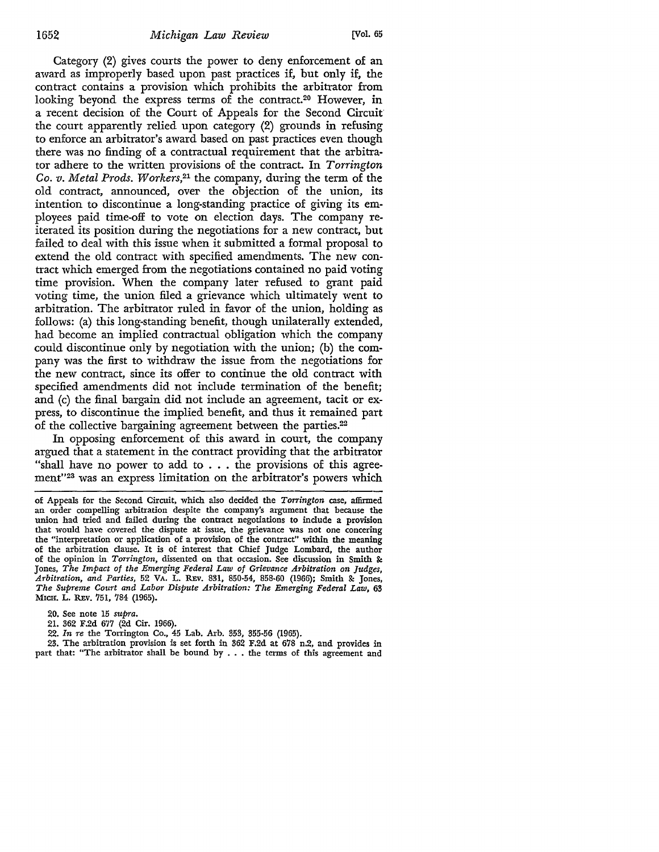Category (2) gives courts the power to deny enforcement of an award as improperly based upon past practices if, but only if, the contract contains a provision which prohibits the arbitrator from looking beyond the express terms of the contract.<sup>20</sup> However, in a recent decision of the Court of Appeals for the Second Circuit the court apparently relied upon category (2) grounds in refusing to enforce an arbitrator's award based on past practices even though there was no finding of a contractual requirement that the arbitrator adhere to the written provisions of the contract. In *Torrington Co. v. Metal Prods. Workers,21* the company, during the term of the old contract, announced, over the objection of the union, its intention to discontinue a long-standing practice of giving its employees paid time-off to vote on election days. The company reiterated its position during the negotiations for a new contract, but failed to deal with this issue when it submitted a formal proposal to extend the old contract with specified amendments. The new contract which emerged from the negotiations contained no paid voting time provision. When the company later refused to grant paid voting time, the union filed a grievance which ultimately went to arbitration. The arbitrator ruled in favor of the union, holding as follows: (a) this long-standing benefit, though unilaterally extended, had become an implied contractual obligation which the company could discontinue only by negotiation with the union; (b) the company was the first to withdraw the issue from the negotiations for the new contract, since its offer to continue the old contract with specified amendments did not include termination of the benefit; and (c) the final bargain did not include an agreement, tacit or express, to discontinue the implied benefit, and thus it remained part of the collective bargaining agreement between the parties.<sup>22</sup>

In opposing enforcement of this award in court, the company argued that a statement in the contract providing that the arbitrator "shall have no power to add to  $\ldots$  the provisions of this agreement"<sup>23</sup> was an express limitation on the arbitrator's powers which

20. See note 15 *supra.* 

21. 362 F.2d 677 (2d Cir. 1966).

22. *In re* the Torrington Co., 45 Lab. Arb. 353, 355-56 (1965).

23. The arbitration provision is set forth in 362 F.2d at 678 n.2, and provides in part that: "The arbitrator shall be bound by . . . the terms of this agreement and

of Appeals for the Second Circuit, which also decided the *Torrington* case, affirmed an order compelling arbitration despite the company's argument that because the union had tried and failed during the contract negotiations to include a provision that would have covered the dispute at issue, the grievance was not one concering the "interpretation or application of a provision of the contract" within the meaning of the arbitration clause. It is of interest that Chief Judge Lombard, the author of the opinion in *Torrington,* dissented on that occasion. See discussion in Smith &: Jones, *The Impact of the Emerging Federal Law of Grievance Arbitration on Judges, Arbitration, and Parties,* 52 VA. L. REv. 831, 850-54, 858-60 (1966); Smith &: Jones, *The Supreme Court and Labor Dispute Arbitration: The Emerging Federal Law,* 63 MICH. L. REv. 751, 784 (1965).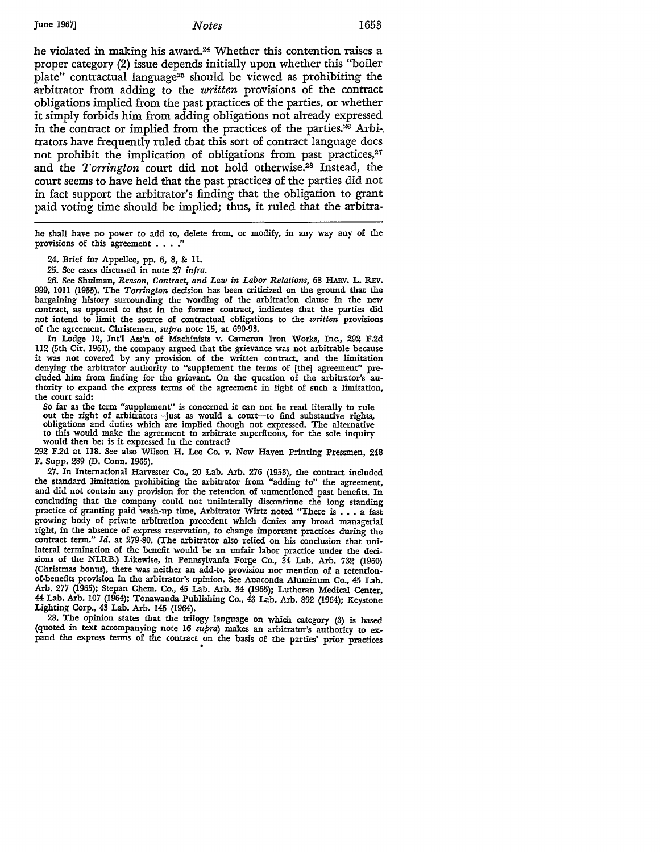June 1967] *Notes* 1653

he violated in making his award.<sup>24</sup> Whether this contention raises a proper category (2) issue depends initially upon whether this "boiler plate" contractual language25 should be viewed as prohibiting the arbitrator from adding *to* the *written* provisions of the contract obligations implied from the past practices of the parties, or whether it simply forbids him from adding obligations not already expressed in the contract or implied from the practices of the parties.<sup>26</sup> Arbitrators have frequently ruled that this sort of contract language does not prohibit the implication of obligations from past practices,<sup>27</sup> and the *Torrington* court did not hold otherwise.28 Instead, the court seems *to* have held that the past practices of the parties did not in fact support the arbitrator's finding that the obligation *to* grant paid voting time should be implied; thus, it ruled that the arbitra-

he shall have no power to add to, delete from, or modify, in any way any of the provisions of this agreement . . . .

24. Brief for Appellee, pp. 6, 8, & 11.

25. See cases discussed in note 27 *infra.* 

26. See Shulman, *Reason, Contract, and Law in Labor Relations*, 68 HARV. L. REV. 999, 1011 (1955). The *Torrington* decision has been criticized on the ground that the bargaining history surrounding the wording of the arbitration clause in the new contract, as opposed to that in the former contract, indicates that the parties did not intend to limit the source of contractual obligations to the *written* provisions of the agreement. Christensen, *supra* note 15, at 690-93.

In Lodge 12, Int'l Ass'n of Machinists v. Cameron Iron Works, Inc., 292 F.2d 112 (5th Cir. 1961), the company argued that the grievance was not arbitrable because it was not covered by any provision of the written contract, and the limitation denying the arbitrator authority to "supplement the terms of [the] agreement" precluded him from finding for the grievant. On the question of the arbitrator's authority to expand the express terms of the agreement in light of such a limitation, the court said:

So far as the term "supplement" is concerned it can not be read literally to rule out the right of arbitrators-just as would a court-to find substantive rights, obligations and duties which are implied though not expressed. The alternative to this would make the agreement to arbitrate superfluous, for the sole inquiry would then be: is it expressed in the contract?

292 F.2d at 118. See also Wilson H. Lee Co. v. New Haven Printing Pressmen, 248 F. Supp. 289 (D. Conn. 1965).

27. In International Harvester Co., 20 Lab. Arb. 276 (1953), the contract included the standard limitation prohibiting the arbitrator from "adding to" the agreement, and did not contain any provision for the retention of unmentioned past benefits. In concluding that the company could not unilaterally discontinue the long standing practice of granting paid wash-up time, Arbitrator Wirtz noted "There is . . . a fast growing body of private arbitration precedent which denies any broad managerial right, in the absence of express reservation, to change important practices during the contract term." *Id.* at 279-80. (The arbitrator also relied on his conclusion that unilateral termination of the benefit would be an unfair labor practice under the decisions of the NLRB.) Likewise, in Pennsylvania Forge Co., 34 Lab. Arb. 732 (1960) (Christmas bonus), there was neither an add-to provision nor mention of a retentionof-benefits provision in the arbitrator's opinion. See Anaconda Aluminum Co., 45 Lab. Arb. 277 (1965); Stepan Chem. Co., 45 Lab. Arb. 34 (1965); Lutheran Medical Center, 44 Lab. Arb. 107 (1964); Tonawanda Publishing Co., 43 Lab. Arb. 892 (1964); Keystone Lighting Corp., 43 Lab. Arb. 145 (1964).

28. The opinion states that the trilogy language on which category (3) is based (quoted in text accompanying note 16 *supra)* makes an arbitrator's authority to expand the express terms of the contract on the basis of the parties' prior practices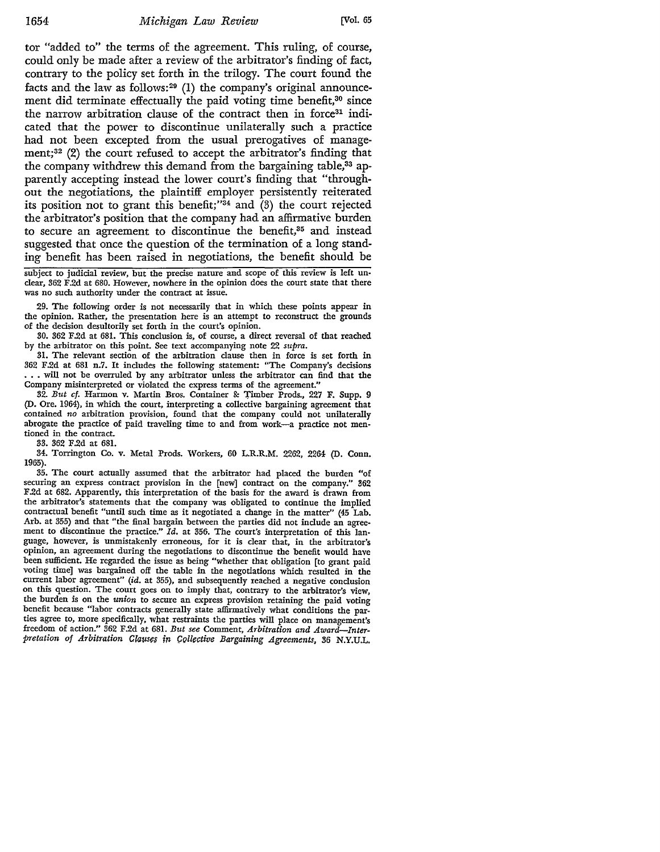tor "added to" the terms of the agreement. This ruling, of course, could only be made after a review of the arbitrator's finding of fact, contrary to the policy set forth in the trilogy. The court found the facts and the law as follows: $29$  (1) the company's original announcement did terminate effectually the paid voting time benefit,<sup>30</sup> since the narrow arbitration clause of the contract then in force<sup>31</sup> indicated that the power to discontinue unilaterally such a practice had not been excepted from the usual prerogatives of management;32 (2) the court refused to accept the arbitrator's finding that the company withdrew this demand from the bargaining table,<sup>33</sup> apparently accepting instead the lower court's finding that "throughout the negotiations, the plaintiff employer persistently reiterated its position not to grant this benefit;" $34$  and (3) the court rejected the arbitrator's position that the company had an affirmative burden to secure an agreement to discontinue the benefit,<sup>35</sup> and instead suggested that once the question of the termination of a long standing benefit has been raised in negotiations, the benefit should be

subject to judicial review, but the precise nature and scope of this review is **left** unclear, 362 F.2d at 680. However, nowhere in the opinion does the court state that there was no such authority under the contract at issue.

29. The following order is not necessarily that in which these points appear in the opinion. Rather, the presentation here is an attempt to reconstruct the grounds of the decision desultorily set forth in the court's opinion.

30. 362 F.2d at 681. This conclusion is, of course, a direct reversal of that reached by the arbitrator on this point. See text accompanying note 22 *supra.* 

31. The relevant section of the arbitration clause then in force is set forth in 362 F.2d at 681 n.7. It includes the following statement: "The Company's decisions •.. will not be overruled by any arbitrator unless the arbitrator can find that the Company misinterpreted or violated the express terms of the agreement."

32. *But cf.* Harmon v. Martin Bros. Container & Timber Prods., 227 F. Supp. 9 (D. Ore. 1964), in which the court, interpreting a collective bargaining agreement that contained *no* arbitration provision, found that the company could not unilaterally abrogate the practice of paid traveling time to and from work-a practice not mentioned in the contract.

33. 362 F.2d at 681.

34. Torrington Co. v. Metal Prods. Workers, 60 L.R.R.M. 2262, 2264 (D. Conn. 1965).

35. The court actually assumed that the arbitrator had placed the burden "of securing an express contract provision in the [new] contract on the company." 362 F.2d at 682. Apparently, this interpretation of the basis for the award is drawn from the arbitrator's statements that the company was obligated to continue the implied contractual benefit "until such time as it negotiated a change in the matter" (45 Lab. Arb. at 355) and that "the final bargain between the parties did not include an agreement to discontinue the practice." *Id.* at 356. The court's interpretation of this language, however, is unmistakenly erroneous, for it is clear that, in the arbitrator's opinion, an agreement during the negotiations to discontinue the benefit would have been sufficient. He regarded the issue as being "whether that obligation [to grant paid voting time] was bargained off the table in the negotiations which resulted in the current labor agreement" *(id.* at 355), and subsequently reached a negative conclusion on this question. The court goes on to imply that, contrary to the arbitrator's view, the burden is on the *union* to secure an express provision retaining the paid voting benefit because "labor contracts generally state affirmatively what conditions the parties agree to, more specifically, what restraints the parties will place on management's freedom of action." 362 F.2d at 681. *But see* Comment, *Arbitration and Award-Interpretation of Arbitration Claiist:s in (;Qllt:ctive Bargaining Agreements,* 36 N.Y.UL.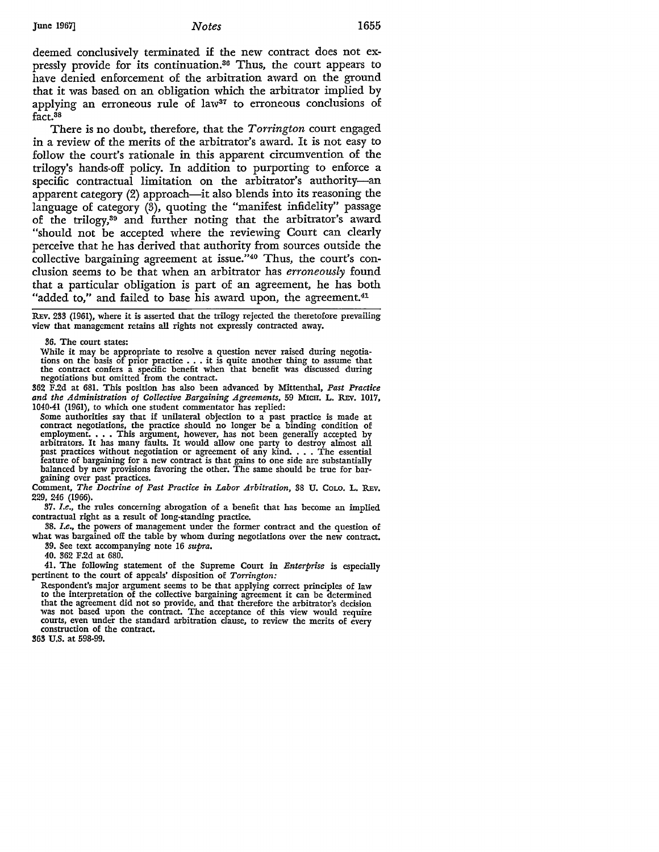#### June 1967] *Notes* 1655

deemed conclusively terminated if the new contract does not expressly provide for its continuation.36 Thus, the court appears to have denied enforcement of the arbitration award on the ground that it was based on an obligation which the arbitrator implied by applying an erroneous rule of law<sup>37</sup> to erroneous conclusions of fact.38

There is no doubt, therefore, that the *Torrington* court engaged in a review of the merits of the arbitrator's award. It is not easy to follow the court's rationale in this apparent circumvention of the trilogy's hands-off policy. In addition to purporting to enforce a specific contractual limitation on the arbitrator's authority-an apparent category (2) approach—it also blends into its reasoning the language of category (3), quoting the "manifest infidelity" passage of the trilogy,39 and further noting that the arbitrator's award "should not be accepted where the reviewing Court can clearly perceive that he has derived that authority from sources outside the collective bargaining agreement at issue."40 Thus, the court's conclusion seems to be that when an arbitrator has *erroneously* found that a particular obligation is part of an agreement, he has both "added to," and failed to base his award upon, the agreement.<sup>41</sup>

REv. 233 (1961), where it is asserted that the trilogy rejected the theretofore prevailing view that management retains all rights not expressly contracted away.

36. The court states:

While it may be appropriate to resolve a question never raised during negotiations on the basis of prior practice . • • it is quite another thing to assume that the contract confers a specific benefit when that benefit was discussed during negotiations but omitted from the contract.

362 F.2d at 681. This position has also been advanced by Mittenthal, *Past Practice and the Administration of Collective Bargaining Agreements,* 59 MICH. L. REv. 1017, 1040-41 (1961), to which one student commentator has replied:

Some authorities say that if unilateral objection to a past practice is made at contract negotiations, the practice should no longer be a binding condition of employment. . . This argument, however, has not been generally accepted by arbitrators. It has many faults. It would allow one party to destroy almost all past practices without negotiation or agreement of any kind. . . . The essential feature of bargaining for a new contract is that gains to one side are substantially balanced by new provisions favoring the other. The same should be true for bargaining over past practices.

Comment, *The Doctrine of Past Practice in Labor Arbitration,* 38 U. CoLO. L. REv. 229, 246 (1966).

37. *I.e.,* the rules concerning abrogation of a benefit that has become an implied contractual right as a result of long-standing practice.

38. *I.e.,* the powers of management under the former contract and the question of what was bargained off the table by whom during negotiations over the new contract. 39. See text accompanying note 16 *supra.* 

40. 362 F.2d at 680.

41. The following statement of the Supreme Court in *Enterprise* is especially pertinent to the court of appeals' disposition of *Torrington:* 

Respondent's major argument seems to be that applying correct principles of law to the interpretation of the collective bargaining agreement it can be determined that the agreement did not so provide, and that therefore the arbitrator's decision was not based upon the contract. The acceptance of this view would require courts, even under the standard arbitration clause, to review the merits of every construction of the contract.

**363 U.S.** at 598-99.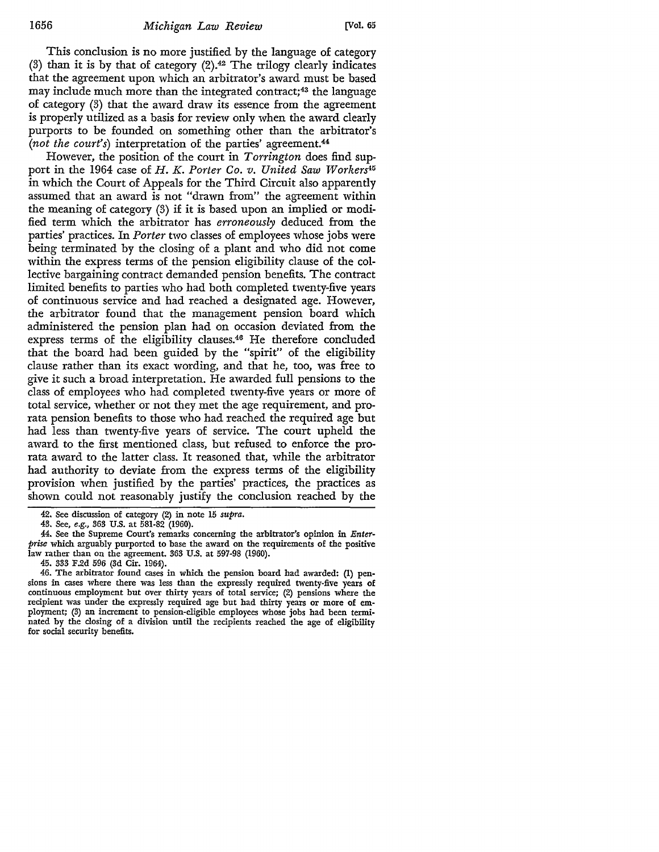This conclusion is no more justified by the language of category (3) than it is by that of category  $(2)$ .<sup>42</sup> The trilogy clearly indicates that the agreement upon which an arbitrator's award must be based may include much more than the integrated contract;<sup>43</sup> the language of category (3) that the award draw its essence from the agreement is properly utilized as a basis for review only when the award clearly purports to be founded on something other than the arbitrator's *(not the court's)* interpretation of the parties' agreement.44

However, the position of the court in *Torrington* does find support in the 1964 case of *H.K. Porter Co. v. United Saw Workers4ti*  in which the Court of Appeals for the Third Circuit also apparently assumed that an award is not "drawn from" the agreement within the meaning of category (3) if it is based upon an implied or modified term which the arbitrator has *erroneously* deduced from the parties' practices. In *Porter* two classes of employees whose jobs were being terminated by the closing of a plant and who did not come within the express terms of the pension eligibility clause of the collective bargaining contract demanded pension benefits. The contract limited benefits to parties who had both completed twenty-five years of continuous service and had reached a designated age. However, the arbitrator found that the management pension board which administered the pension plan had on occasion deviated from the express terms of the eligibility clauses.46 He therefore concluded that the board had been guided by the "spirit" of the eligibility clause rather than its exact wording, and that he, too, was free to give it such a broad interpretation. He awarded full pensions to the class of employees who had completed twenty-five years or more of total service, whether or not they met the age requirement, and prorata pension benefits to those who had reached the required age but had less than twenty-five years of service. The court upheld the award to the first mentioned class, but refused to enforce the prorata award to the latter class. It reasoned that, while the arbitrator had authority to deviate from the express terms of the eligibility provision when justified by the parties' practices, the practices as shown could not reasonably justify the conclusion reached by the

<sup>42.</sup> See discussion of category (2) in note 15 *supra.* 

<sup>43.</sup> See, *e.g.,* 363 U.S. at 581-82 (1960).

<sup>44.</sup> See the Supreme Court's remarks concerning the arbitrator's opinion in *Enterprise* which arguably purported to base the award on the requirements of the positive law rather than on the agreement. 363 U.S. at 597-98 (1960).

<sup>45. 333</sup> F.2d 596 (3d Cir. 1964).

<sup>46.</sup> The arbitrator found cases in which the pension board had awarded: (1) pensions in cases where there was less than the expressly required twenty-five years of continuous employment but over thirty years of total service; (2) pensions where the recipient was under the expressly required age but had thirty years or more of employment; (3) an increment to pension-eligible employees whose jobs had been terminated by the closing of a division until the recipients reached the age of eligibility for social security benefits.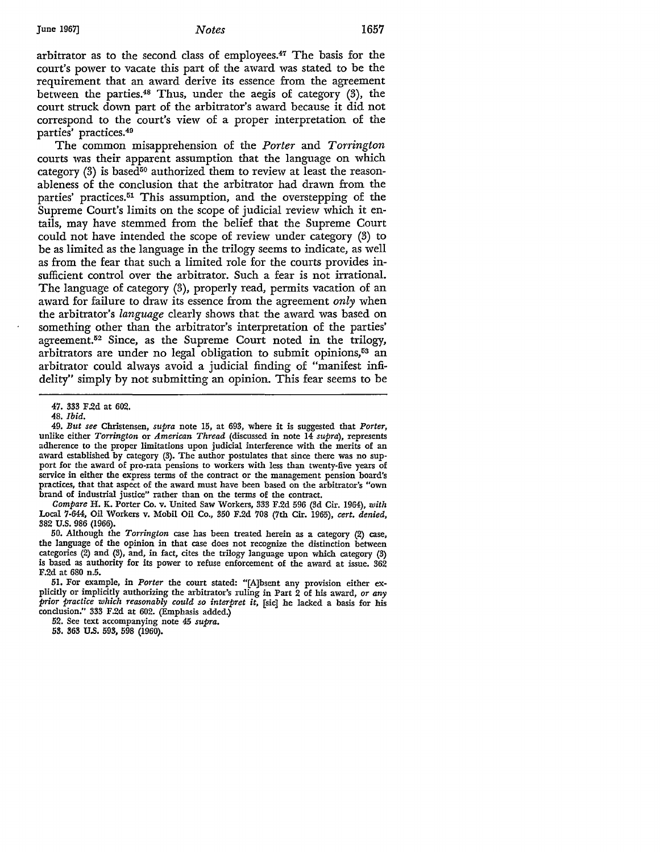#### **June** 1967] *Notes* 1657

arbitrator as to the second class of employees.47 The basis for the court's power to vacate this part of the award was stated to be the requirement that an award derive its essence from the agreement between the parties.48 Thus, under the aegis of category (3), the court struck down part of the arbitrator's award because it did not correspond to the court's view of a proper interpretation of the parties' practices.49

The common misapprehension of the *Porter* and *Torrington*  courts was their apparent assumption that the language on which category  $(3)$  is based<sup>50</sup> authorized them to review at least the reasonableness of the conclusion that the arbitrator had drawn from the parties' practices.<sup>51</sup> This assumption, and the overstepping of the Supreme Court's limits on the scope of judicial review which it entails, may have stemmed from the belief that the Supreme Court could not have intended the scope of review under category (3) to be as limited as the language in the trilogy seems to indicate, as well as from the fear that such a limited role for the courts provides insufficient control over the arbitrator. Such a fear is not irrational. The language of category (3), properly read, permits vacation of an award for failure to draw its essence from the agreement *only* when the arbitrator's *language* clearly shows that the award was based on something other than the arbitrator's interpretation of the parties' agreement.52 Since, as the Supreme Court noted in the trilogy, arbitrators are under no legal obligation to submit opinions,53 an arbitrator could always avoid a judicial finding of "manifest infidelity" simply by not submitting an opinion. This fear seems to be

*Compare* H. K. Porter Co. v. United Saw Workers, 333 F.2d 596 (3d Cir. 1964), *with*  Local 7-644, Oil Workers v. Mobil Oil Co., 350 F.2d 708 (7th Cir. 1965), *cert. denied,*  382 U.S. 986 (1966).

50. Although the *Torrington* case has been treated herein as a category (2) case, the language of the opinion in that case does not recognize the distinction between categories (2) and (3), and, in fact, cites the trilogy language upon which category (3) is based as authority for its power to refuse enforcement of the award at issue. 362 F.2d at 680 n.5.

51. For example, in *Porter* the court stated: "(A]bsent any provision either explicitly or implicitly authorizing the arbitrator's ruling in Part 2 of his award, *or any prior practice which reasonably could so interpret it,* [sic] he lacked a basis for his conclusion." 333 F.2d at 602. (Emphasis added.)

52. See text accompanying note 45 *supra.* 

53. 363 U.S. 593, 598 (1960).

<sup>47. 333</sup> F.2d at 602.

<sup>48.</sup> *Ibid.* 

<sup>49.</sup> *But see* Christensen, *supra* note 15, at 693, where it is suggested that *Porter,*  unlike either *Torrington* or *American Thread* (discussed in note 14 *supra),* represents adherence to the proper limitations upon judicial interference with the merits of an award established by category (3). The author postulates that since there was no support for the award of pro-rata pensions to workers with less than twenty-five years of service in either the express terms of the contract or the management pension board's practices, that that aspect of the award must have been based on the arbitrator's "own brand of industrial justice" rather than on the terms of the contract.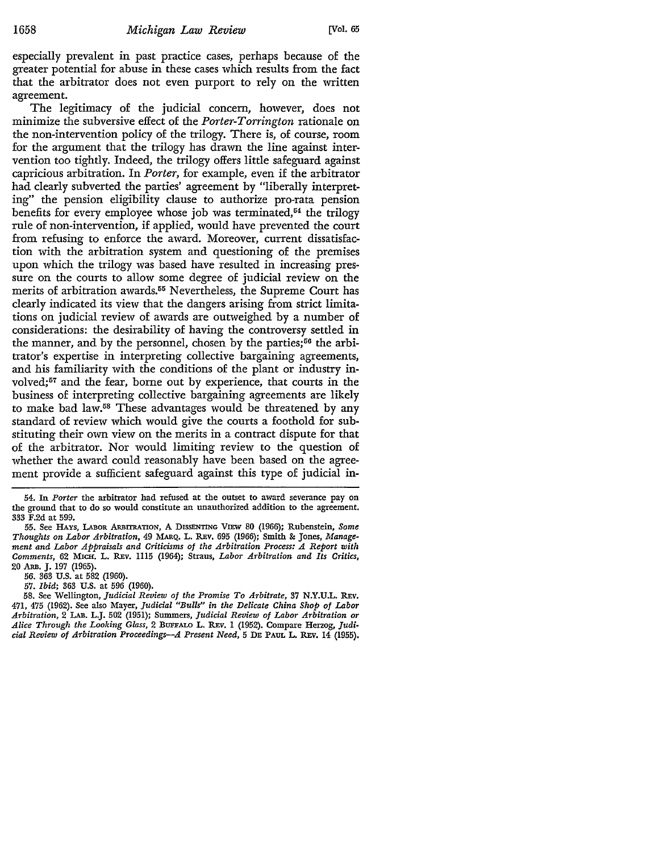especially prevalent in past practice cases, perhaps because of the greater potential for abuse in these cases which results from the fact that the arbitrator does not even purport to rely on the written agreement.

The legitimacy of the judicial concern, however, does not minimize the subversive effect of the *Porter-Torrington* rationale on the non-intervention policy of the trilogy. There is, of course, room for the argument that the trilogy has drawn the line against intervention too tightly. Indeed, the trilogy offers little safeguard against capricious arbitration. In *Porter,* for example, even if the arbitrator had clearly subverted the parties' agreement by "liberally interpreting" the pension eligibility clause to authorize pro-rata pension benefits for every employee whose job was terminated, $54$  the trilogy rule of non-intervention, if applied, would have prevented the court from refusing to enforce the award. Moreover, current dissatisfaction with the arbitration system and questioning of the premises upon which the trilogy was based have resulted in increasing pressure on the courts to allow some degree of judicial review on the merits of arbitration awards.55 Nevertheless, the Supreme Court has clearly indicated its view that the dangers arising from strict limitations on judicial review of awards are outweighed by a number of considerations: the desirability of having the controversy settled in the manner, and by the personnel, chosen by the parties;<sup>56</sup> the arbitrator's expertise in interpreting collective bargaining agreements, and his familiarity with the conditions of the plant or industry involved;<sup>57</sup> and the fear, borne out by experience, that courts in the business of interpreting collective bargaining agreements are likely to make bad law.58 These advantages would be threatened by any standard of review which would give the courts a foothold for substituting their own view on the merits in a contract dispute for that of the arbitrator. Nor would limiting review to the question of whether the award could reasonably have been based on the agreement provide a sufficient safeguard against this type of judicial in-

54. In *Porter* the arbitrator had refused at the outset to award severance pay on the ground that to do so would constitute an unauthorized addition to the agreement, 333 F.2d at 599.

55. See HAYS, LABOR ARBITRATION, A DISSENTING VIEW 80 (1966); Rubenstein, Some *Thoughts on Labor Arbitration,* 49 MARQ. L. R.Ev. 695 (1966); Smith & Jones, *Management and Labor Appraisals and Criticisms of the Arbitration Process: A Report with Comments,* 62 MICH. L. R.Ev. 1115 (1964); Straus, *Labor Arbitration and Its Critics,*  20 ARB. J. 197 (1965).

56. 363 U.S. at 582 (1960).

57. *Ibid;* 363 U.S. at 596 (1960).

58. See Wellington, *Judicial Review of the Promise To Arbitrate,* 37 N.Y.U.L. R.Ev. 471, 475 (1962). See also Mayer, *Judicial "Bulls'' in the Delicate China Shop of Labor Arbitration,* 2 LAB. L.J. 502 (1951); Summers, *Judicial Review of Labor Arbitration or Alice Through the Looking Glass,* 2 BUFFALO L. R.Ev. 1 (1952). Compare Herzog, *Judi• cial Review of Arbitration Proceedings-A Present Need,* 5 DE PAUL L. R.Ev. 14 (1955).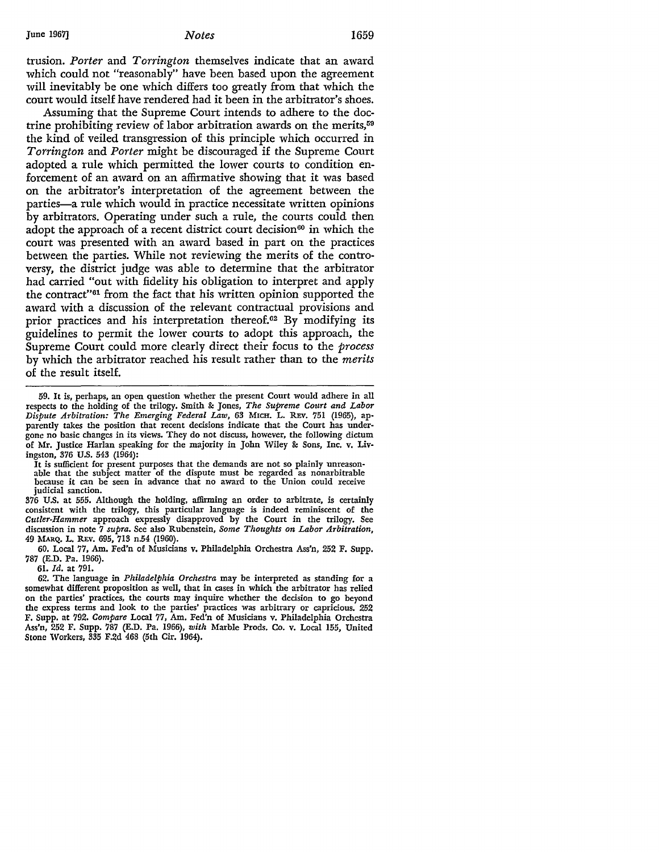trusion. *Porter* and *Torrington* themselves indicate that an award which could not "reasonably" have been based upon the agreement will inevitably be one which differs too greatly from that which the court would itself have rendered had it been in the arbitrator's shoes.

Assuming that the Supreme Court intends to adhere to the doctrine prohibiting review of labor arbitration awards on the merits,59 the kind of veiled transgression of this principle which occurred in *Torrington* and *Porter* might be discouraged if the Supreme Court adopted a rule which permitted the lower courts to condition enforcement of an award on an affirmative showing that it was based on the arbitrator's interpretation of the agreement between the parties-a rule which would in practice necessitate written opinions by arbitrators. Operating under such a rule, the courts could then adopt the approach of a recent district court decision<sup>60</sup> in which the court was presented with an award based in part on the practices between the parties. While not reviewing the merits of the controversy, the district judge was able to determine that the arbitrator had carried "out with fidelity his obligation to interpret and apply the contract"61 from the fact that his written opinion supported the award with a discussion of the relevant contractual provisions and prior practices and his interpretation thereof.62 By modifying its guidelines to permit the lower courts to adopt this approach, the Supreme Court could more clearly direct their focus to the *process*  by which the arbitrator reached his result rather than to the *merits*  of the result itself.

**It** is sufficient for present purposes that the demands are not so plainly unreason- able that the subject matter of the dispute must be regarded as nonarbitrable because it can be seen in advance that no award to the Union could receive judicial sanction.

376 U.S. at 555. Although the holding, affirming an order to arbitrate, is certainly consistent with the trilogy, this particular language is indeed reminiscent of the *Cutler-Hammer* approach expressly disapproved by the Court in the trilogy. See discussion in note 7 *supra.* See also Rubenstein, *Some Thoughts on Labor Arbitration,*  49 MARQ. L. REV. 695, 713 n.54 (1960).

60. Local 77, Am. Fed'n of Musicians v. Philadelphia Orchestra Ass'n, 252 F. Supp. 787 (E.D. Pa. 1966).

61. *Id.* at 791.

62. The language in *Philadelphia Orchestra* may be interpreted as standing for a somewhat different proposition as well, that in cases in which the arbitrator has relied on the parties' practices, the courts may inquire whether the decision to go beyond the express terms and look to the parties' practices was arbitrary or capricious. 252 F. Supp. at 792. *Compare* Local 77, Am. Fed'n of Musicians v. Philadelphia Orchestra Ass'n, 252 F. Supp. 787 (E.D. Pa. 1966), *with* Marble Prods. Co. v. Local 155, United Stone Workers, 335 F.2d 468 (5th Cir. 1964).

<sup>59.</sup> It is, perhaps, an open question whether the present Court would adhere in all respects to the holding of the trilogy. Smith & Jones, *The Supreme Court and Labor Dispute Arbitration: The Emerging Federal Law,* 63 MICH. L. REv. 751 (1965), apparently talces the position that recent decisions indicate that the Court has undergone no basic changes in its views. They do not discuss, however, the following dictum of Mr. Justice Harlan speaking for the majority in John Wiley & Sons, Inc. v. Livingston, 376 U.S. 543 (1964):